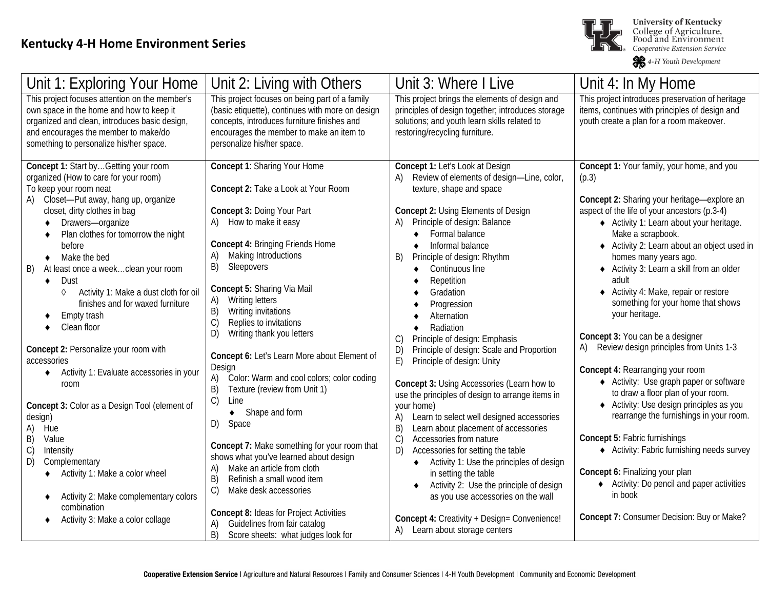

**University of Kentucky** College of Agriculture,<br>Food and Environment<br>Cooperative Extension Service

4-H Youth Development

| Unit 1: Exploring Your Home                                                                                                                                                                                                                                                                                                                                                                                                                                                                                                                                                                                                                                                                                                                                                                                                                                 | Unit 2: Living with Others                                                                                                                                                                                                                                                                                                                                                                                                                                                                                                                                                                                                                                                                                                                                                                                                          | Unit 3: Where I Live                                                                                                                                                                                                                                                                                                                                                                                                                                                                                                                                                                                                                                                                                                                                                                                                                                                                                                                                                                                       | Unit 4: In My Home                                                                                                                                                                                                                                                                                                                                                                                                                                                                                                                                                                                                                                                                                                                                                                                                                                                                                                                                                   |
|-------------------------------------------------------------------------------------------------------------------------------------------------------------------------------------------------------------------------------------------------------------------------------------------------------------------------------------------------------------------------------------------------------------------------------------------------------------------------------------------------------------------------------------------------------------------------------------------------------------------------------------------------------------------------------------------------------------------------------------------------------------------------------------------------------------------------------------------------------------|-------------------------------------------------------------------------------------------------------------------------------------------------------------------------------------------------------------------------------------------------------------------------------------------------------------------------------------------------------------------------------------------------------------------------------------------------------------------------------------------------------------------------------------------------------------------------------------------------------------------------------------------------------------------------------------------------------------------------------------------------------------------------------------------------------------------------------------|------------------------------------------------------------------------------------------------------------------------------------------------------------------------------------------------------------------------------------------------------------------------------------------------------------------------------------------------------------------------------------------------------------------------------------------------------------------------------------------------------------------------------------------------------------------------------------------------------------------------------------------------------------------------------------------------------------------------------------------------------------------------------------------------------------------------------------------------------------------------------------------------------------------------------------------------------------------------------------------------------------|----------------------------------------------------------------------------------------------------------------------------------------------------------------------------------------------------------------------------------------------------------------------------------------------------------------------------------------------------------------------------------------------------------------------------------------------------------------------------------------------------------------------------------------------------------------------------------------------------------------------------------------------------------------------------------------------------------------------------------------------------------------------------------------------------------------------------------------------------------------------------------------------------------------------------------------------------------------------|
| This project focuses attention on the member's<br>own space in the home and how to keep it<br>organized and clean, introduces basic design,<br>and encourages the member to make/do<br>something to personalize his/her space.                                                                                                                                                                                                                                                                                                                                                                                                                                                                                                                                                                                                                              | This project focuses on being part of a family<br>(basic etiquette), continues with more on design<br>concepts, introduces furniture finishes and<br>encourages the member to make an item to<br>personalize his/her space.                                                                                                                                                                                                                                                                                                                                                                                                                                                                                                                                                                                                         | This project brings the elements of design and<br>principles of design together; introduces storage<br>solutions; and youth learn skills related to<br>restoring/recycling furniture.                                                                                                                                                                                                                                                                                                                                                                                                                                                                                                                                                                                                                                                                                                                                                                                                                      | This project introduces preservation of heritage<br>items, continues with principles of design and<br>youth create a plan for a room makeover.                                                                                                                                                                                                                                                                                                                                                                                                                                                                                                                                                                                                                                                                                                                                                                                                                       |
| Concept 1: Start byGetting your room<br>organized (How to care for your room)<br>To keep your room neat<br>A) Closet-Put away, hang up, organize<br>closet, dirty clothes in bag<br>Drawers-organize<br>Plan clothes for tomorrow the night<br>before<br>Make the bed<br>$\bullet$<br>At least once a weekclean your room<br>B)<br>Dust<br>$\bullet$<br>Activity 1: Make a dust cloth for oil<br>♦<br>finishes and for waxed furniture<br>Empty trash<br>Clean floor<br>Concept 2: Personalize your room with<br>accessories<br>Activity 1: Evaluate accessories in your<br>room<br>Concept 3: Color as a Design Tool (element of<br>design)<br>A)<br>Hue<br>B)<br>Value<br>$\mathcal{C}$<br>Intensity<br>D)<br>Complementary<br>Activity 1: Make a color wheel<br>Activity 2: Make complementary colors<br>combination<br>Activity 3: Make a color collage | Concept 1: Sharing Your Home<br>Concept 2: Take a Look at Your Room<br>Concept 3: Doing Your Part<br>How to make it easy<br>A)<br>Concept 4: Bringing Friends Home<br>Making Introductions<br>A)<br>B)<br>Sleepovers<br>Concept 5: Sharing Via Mail<br><b>Writing letters</b><br>A)<br>B)<br>Writing invitations<br>C)<br>Replies to invitations<br>D)<br>Writing thank you letters<br>Concept 6: Let's Learn More about Element of<br>Design<br>Color: Warm and cool colors; color coding<br>A)<br>Texture (review from Unit 1)<br>B)<br>C)<br>Line<br>Shape and form<br>٠<br>D) Space<br>Concept 7: Make something for your room that<br>shows what you've learned about design<br>Make an article from cloth<br>A)<br>Refinish a small wood item<br>B)<br>C)<br>Make desk accessories<br>Concept 8: Ideas for Project Activities | Concept 1: Let's Look at Design<br>Review of elements of design-Line, color,<br>texture, shape and space<br>Concept 2: Using Elements of Design<br>Principle of design: Balance<br>Formal balance<br>$\bullet$<br>Informal balance<br>Principle of design: Rhythm<br>B)<br>Continuous line<br>٠<br>Repetition<br>Gradation<br>Progression<br>Alternation<br>Radiation<br>Principle of design: Emphasis<br>C)<br>Principle of design: Scale and Proportion<br>D)<br>E)<br>Principle of design: Unity<br>Concept 3: Using Accessories (Learn how to<br>use the principles of design to arrange items in<br>your home)<br>Learn to select well designed accessories<br>A)<br>Learn about placement of accessories<br>B)<br>C)<br>Accessories from nature<br>Accessories for setting the table<br>D)<br>Activity 1: Use the principles of design<br>٠<br>in setting the table<br>Activity 2: Use the principle of design<br>as you use accessories on the wall<br>Concept 4: Creativity + Design= Convenience! | Concept 1: Your family, your home, and you<br>(p.3)<br>Concept 2: Sharing your heritage-explore an<br>aspect of the life of your ancestors (p.3-4)<br>◆ Activity 1: Learn about your heritage.<br>Make a scrapbook.<br>◆ Activity 2: Learn about an object used in<br>homes many years ago.<br>◆ Activity 3: Learn a skill from an older<br>adult<br>Activity 4: Make, repair or restore<br>something for your home that shows<br>your heritage.<br>Concept 3: You can be a designer<br>Review design principles from Units 1-3<br>Concept 4: Rearranging your room<br>◆ Activity: Use graph paper or software<br>to draw a floor plan of your room.<br>♦ Activity: Use design principles as you<br>rearrange the furnishings in your room.<br>Concept 5: Fabric furnishings<br>♦ Activity: Fabric furnishing needs survey<br>Concept 6: Finalizing your plan<br>◆ Activity: Do pencil and paper activities<br>in book<br>Concept 7: Consumer Decision: Buy or Make? |
|                                                                                                                                                                                                                                                                                                                                                                                                                                                                                                                                                                                                                                                                                                                                                                                                                                                             | Guidelines from fair catalog<br>B)<br>Score sheets: what judges look for                                                                                                                                                                                                                                                                                                                                                                                                                                                                                                                                                                                                                                                                                                                                                            | A) Learn about storage centers                                                                                                                                                                                                                                                                                                                                                                                                                                                                                                                                                                                                                                                                                                                                                                                                                                                                                                                                                                             |                                                                                                                                                                                                                                                                                                                                                                                                                                                                                                                                                                                                                                                                                                                                                                                                                                                                                                                                                                      |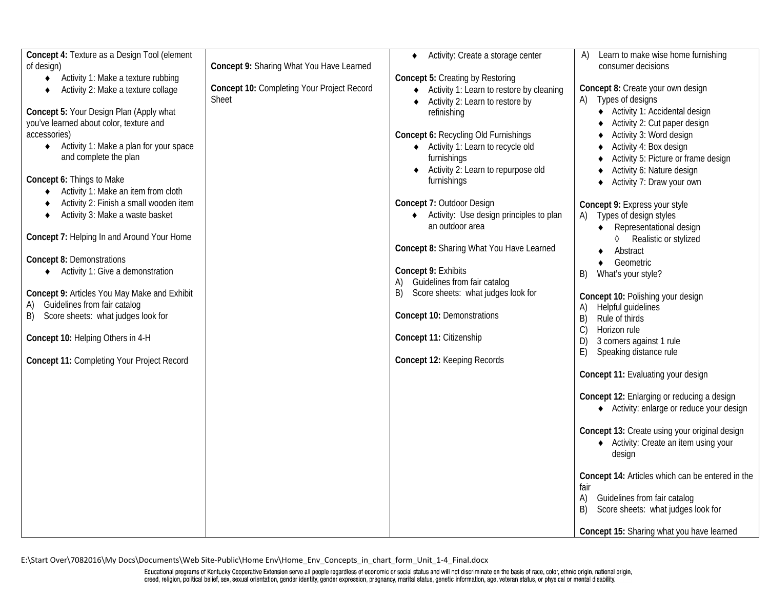| Concept 4: Texture as a Design Tool (element<br>of design)<br>Activity 1: Make a texture rubbing<br>$\bullet$<br>Activity 2: Make a texture collage<br>Concept 5: Your Design Plan (Apply what<br>you've learned about color, texture and<br>accessories)<br>◆ Activity 1: Make a plan for your space<br>and complete the plan<br>Concept 6: Things to Make<br>Activity 1: Make an item from cloth<br>Activity 2: Finish a small wooden item<br>Activity 3: Make a waste basket<br>٠<br>Concept 7: Helping In and Around Your Home<br><b>Concept 8: Demonstrations</b><br>Activity 1: Give a demonstration<br>Concept 9: Articles You May Make and Exhibit<br>Guidelines from fair catalog<br>A)<br>B) Score sheets: what judges look for<br>Concept 10: Helping Others in 4-H<br>Concept 11: Completing Your Project Record | Concept 9: Sharing What You Have Learned<br>Concept 10: Completing Your Project Record<br><b>Sheet</b> | Activity: Create a storage center<br>$\bullet$<br><b>Concept 5: Creating by Restoring</b><br>◆ Activity 1: Learn to restore by cleaning<br>← Activity 2: Learn to restore by<br>refinishing<br>Concept 6: Recycling Old Furnishings<br>◆ Activity 1: Learn to recycle old<br>furnishings<br>Activity 2: Learn to repurpose old<br>furnishings<br>Concept 7: Outdoor Design<br>◆ Activity: Use design principles to plan<br>an outdoor area<br>Concept 8: Sharing What You Have Learned<br>Concept 9: Exhibits<br>Guidelines from fair catalog<br>A)<br>Score sheets: what judges look for<br>B)<br>Concept 10: Demonstrations<br>Concept 11: Citizenship<br>Concept 12: Keeping Records | Learn to make wise home furnishing<br>A)<br>consumer decisions<br>Concept 8: Create your own design<br>Types of designs<br>◆ Activity 1: Accidental design<br>Activity 2: Cut paper design<br>Activity 3: Word design<br>Activity 4: Box design<br>Activity 5: Picture or frame design<br>Activity 6: Nature design<br>Activity 7: Draw your own<br>$\bullet$<br>Concept 9: Express your style<br>Types of design styles<br>A)<br>Representational design<br>$\bullet$<br>♦ Realistic or stylized<br>Abstract<br>Geometric<br>$\bullet$<br>What's your style?<br>B)<br>Concept 10: Polishing your design<br>Helpful guidelines<br>B)<br>Rule of thirds<br>C)<br>Horizon rule<br>3 corners against 1 rule<br>D)<br>E)<br>Speaking distance rule<br>Concept 11: Evaluating your design<br>Concept 12: Enlarging or reducing a design<br>◆ Activity: enlarge or reduce your design<br>Concept 13: Create using your original design<br>◆ Activity: Create an item using your<br>design<br>Concept 14: Articles which can be entered in the<br>fair<br>A)<br>Guidelines from fair catalog<br>Score sheets: what judges look for<br>B)<br>Concept 15: Sharing what you have learned |
|------------------------------------------------------------------------------------------------------------------------------------------------------------------------------------------------------------------------------------------------------------------------------------------------------------------------------------------------------------------------------------------------------------------------------------------------------------------------------------------------------------------------------------------------------------------------------------------------------------------------------------------------------------------------------------------------------------------------------------------------------------------------------------------------------------------------------|--------------------------------------------------------------------------------------------------------|-----------------------------------------------------------------------------------------------------------------------------------------------------------------------------------------------------------------------------------------------------------------------------------------------------------------------------------------------------------------------------------------------------------------------------------------------------------------------------------------------------------------------------------------------------------------------------------------------------------------------------------------------------------------------------------------|--------------------------------------------------------------------------------------------------------------------------------------------------------------------------------------------------------------------------------------------------------------------------------------------------------------------------------------------------------------------------------------------------------------------------------------------------------------------------------------------------------------------------------------------------------------------------------------------------------------------------------------------------------------------------------------------------------------------------------------------------------------------------------------------------------------------------------------------------------------------------------------------------------------------------------------------------------------------------------------------------------------------------------------------------------------------------------------------------------------------------------------------------------------------------------|
|------------------------------------------------------------------------------------------------------------------------------------------------------------------------------------------------------------------------------------------------------------------------------------------------------------------------------------------------------------------------------------------------------------------------------------------------------------------------------------------------------------------------------------------------------------------------------------------------------------------------------------------------------------------------------------------------------------------------------------------------------------------------------------------------------------------------------|--------------------------------------------------------------------------------------------------------|-----------------------------------------------------------------------------------------------------------------------------------------------------------------------------------------------------------------------------------------------------------------------------------------------------------------------------------------------------------------------------------------------------------------------------------------------------------------------------------------------------------------------------------------------------------------------------------------------------------------------------------------------------------------------------------------|--------------------------------------------------------------------------------------------------------------------------------------------------------------------------------------------------------------------------------------------------------------------------------------------------------------------------------------------------------------------------------------------------------------------------------------------------------------------------------------------------------------------------------------------------------------------------------------------------------------------------------------------------------------------------------------------------------------------------------------------------------------------------------------------------------------------------------------------------------------------------------------------------------------------------------------------------------------------------------------------------------------------------------------------------------------------------------------------------------------------------------------------------------------------------------|

E:\Start Over\7082016\My Docs\Documents\Web Site-Public\Home Env\Home\_Env\_Concepts\_in\_chart\_form\_Unit\_1-4\_Final.docx

Educational programs of Kentucky Cooperative Extension serve all people regardless of economic or social status and will not discriminate on the basis of race, color, ethnic origin, national origin,<br>creed, religion, politi